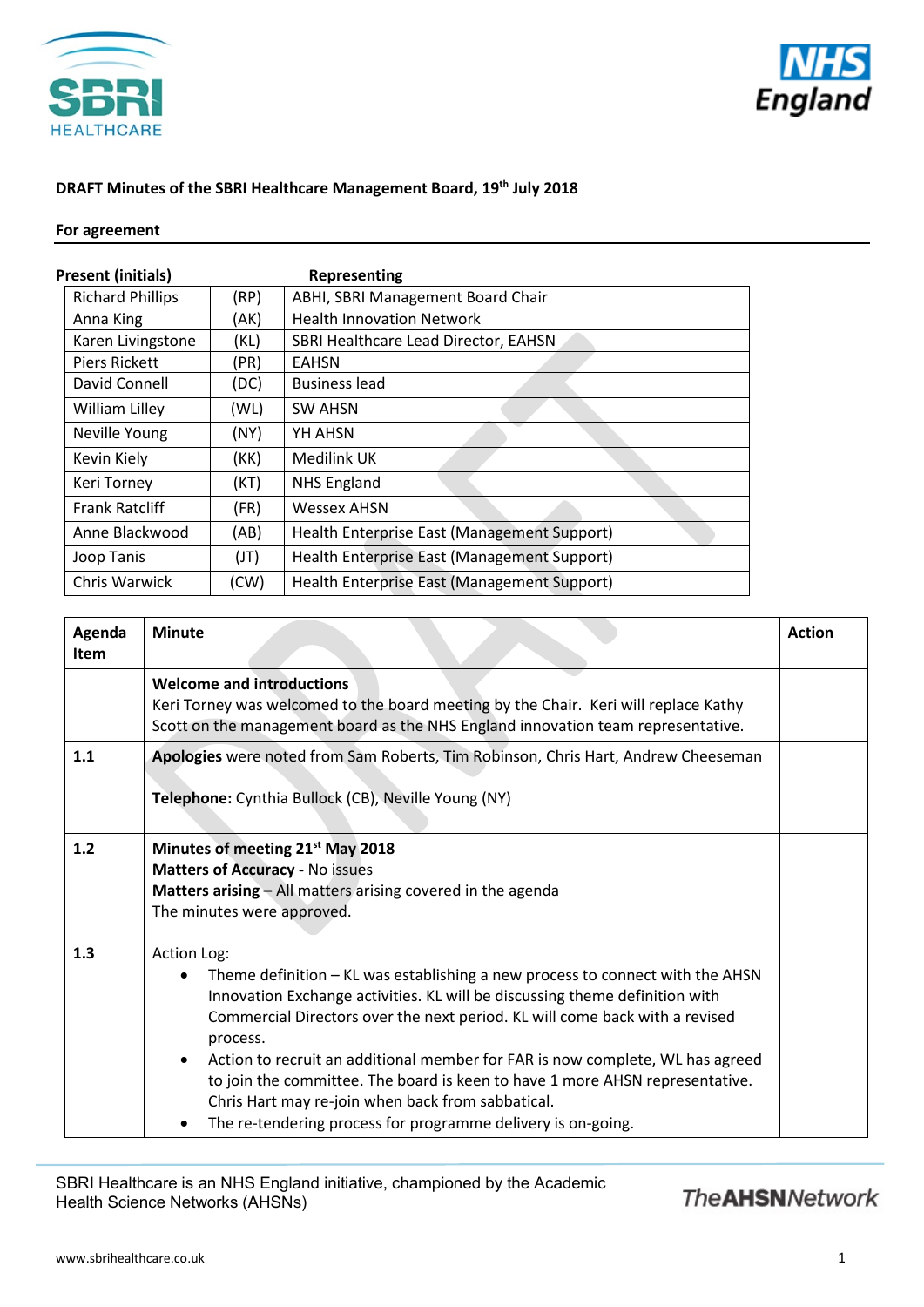



### **DRAFT Minutes of the SBRI Healthcare Management Board, 19th July 2018**

### **For agreement**

| Present (initials)      |      | Representing                                |
|-------------------------|------|---------------------------------------------|
| <b>Richard Phillips</b> | (RP) | ABHI, SBRI Management Board Chair           |
| Anna King               | (AK) | <b>Health Innovation Network</b>            |
| Karen Livingstone       | (KL) | SBRI Healthcare Lead Director, EAHSN        |
| <b>Piers Rickett</b>    | (PR) | EAHSN                                       |
| David Connell           | (DC) | <b>Business lead</b>                        |
| William Lilley          | (WL) | <b>SW AHSN</b>                              |
| Neville Young           | (NY) | YH AHSN                                     |
| Kevin Kiely             | (KK) | Medilink UK                                 |
| Keri Torney             | (KT) | <b>NHS England</b>                          |
| <b>Frank Ratcliff</b>   | (FR) | <b>Wessex AHSN</b>                          |
| Anne Blackwood          | (AB) | Health Enterprise East (Management Support) |
| Joop Tanis              | (JT) | Health Enterprise East (Management Support) |
| Chris Warwick           | (CW) | Health Enterprise East (Management Support) |

| Agenda<br>Item | <b>Minute</b>                                                                                                                                                                                                                                                                                                                                                                                                                                                                                                                                                | <b>Action</b> |
|----------------|--------------------------------------------------------------------------------------------------------------------------------------------------------------------------------------------------------------------------------------------------------------------------------------------------------------------------------------------------------------------------------------------------------------------------------------------------------------------------------------------------------------------------------------------------------------|---------------|
|                | <b>Welcome and introductions</b><br>Keri Torney was welcomed to the board meeting by the Chair. Keri will replace Kathy<br>Scott on the management board as the NHS England innovation team representative.                                                                                                                                                                                                                                                                                                                                                  |               |
| 1.1            | Apologies were noted from Sam Roberts, Tim Robinson, Chris Hart, Andrew Cheeseman<br>Telephone: Cynthia Bullock (CB), Neville Young (NY)                                                                                                                                                                                                                                                                                                                                                                                                                     |               |
| $1.2$          | Minutes of meeting 21 <sup>st</sup> May 2018<br><b>Matters of Accuracy - No issues</b><br><b>Matters arising - All matters arising covered in the agenda</b><br>The minutes were approved.                                                                                                                                                                                                                                                                                                                                                                   |               |
| 1.3            | Action Log:<br>Theme definition – KL was establishing a new process to connect with the AHSN<br>Innovation Exchange activities. KL will be discussing theme definition with<br>Commercial Directors over the next period. KL will come back with a revised<br>process.<br>Action to recruit an additional member for FAR is now complete, WL has agreed<br>to join the committee. The board is keen to have 1 more AHSN representative.<br>Chris Hart may re-join when back from sabbatical.<br>The re-tendering process for programme delivery is on-going. |               |

SBRI Healthcare is an NHS England initiative, championed by the Academic Health Science Networks (AHSNs)

## **The AHSN Network**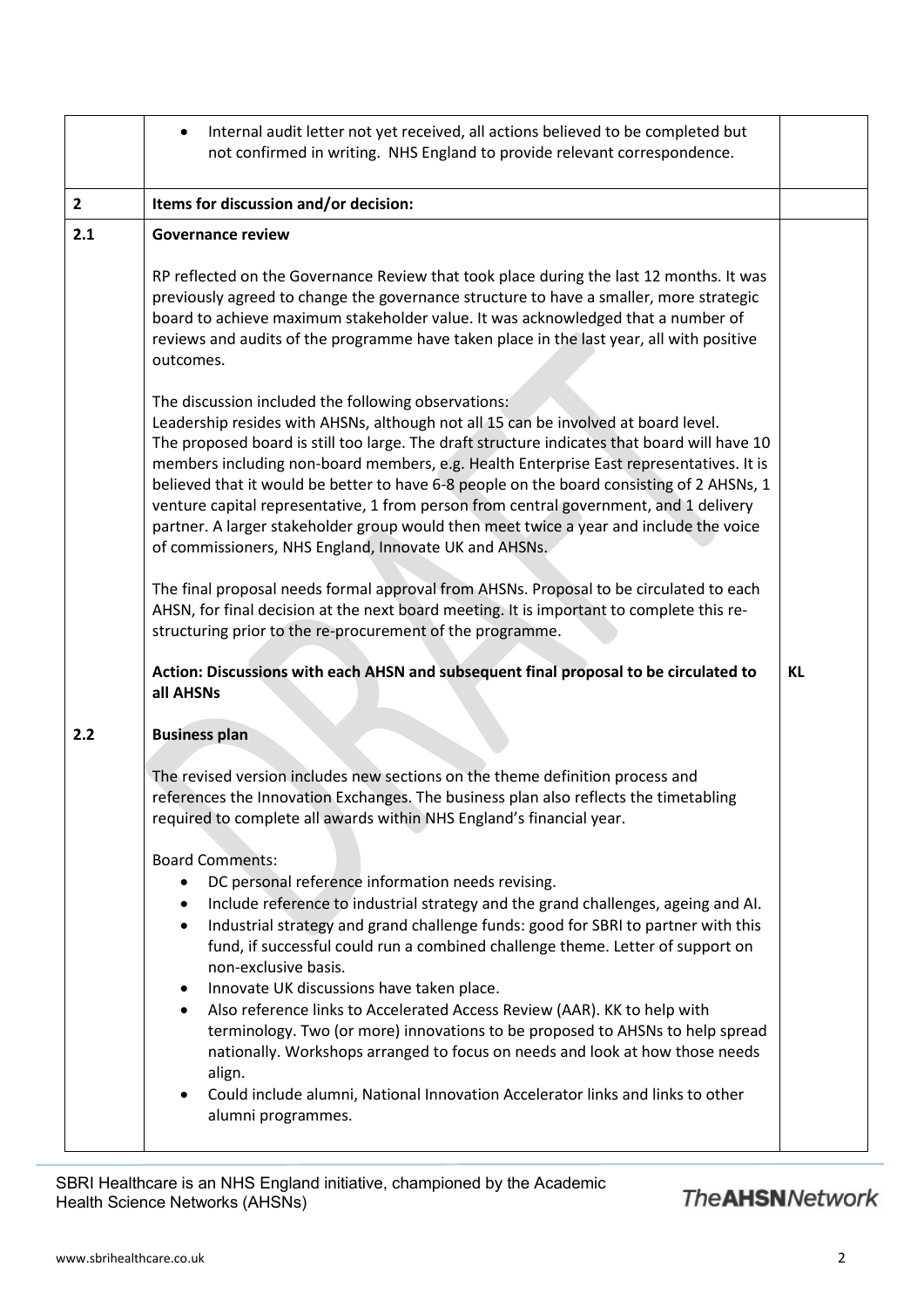|                | Internal audit letter not yet received, all actions believed to be completed but<br>$\bullet$<br>not confirmed in writing. NHS England to provide relevant correspondence.                                                                                                                                                                                                                                                                                                                                                                                                                                                                                                                                                                                                                                      |    |
|----------------|-----------------------------------------------------------------------------------------------------------------------------------------------------------------------------------------------------------------------------------------------------------------------------------------------------------------------------------------------------------------------------------------------------------------------------------------------------------------------------------------------------------------------------------------------------------------------------------------------------------------------------------------------------------------------------------------------------------------------------------------------------------------------------------------------------------------|----|
| $\overline{2}$ | Items for discussion and/or decision:                                                                                                                                                                                                                                                                                                                                                                                                                                                                                                                                                                                                                                                                                                                                                                           |    |
| 2.1            | <b>Governance review</b>                                                                                                                                                                                                                                                                                                                                                                                                                                                                                                                                                                                                                                                                                                                                                                                        |    |
|                | RP reflected on the Governance Review that took place during the last 12 months. It was<br>previously agreed to change the governance structure to have a smaller, more strategic<br>board to achieve maximum stakeholder value. It was acknowledged that a number of<br>reviews and audits of the programme have taken place in the last year, all with positive<br>outcomes.                                                                                                                                                                                                                                                                                                                                                                                                                                  |    |
|                | The discussion included the following observations:<br>Leadership resides with AHSNs, although not all 15 can be involved at board level.<br>The proposed board is still too large. The draft structure indicates that board will have 10<br>members including non-board members, e.g. Health Enterprise East representatives. It is<br>believed that it would be better to have 6-8 people on the board consisting of 2 AHSNs, 1<br>venture capital representative, 1 from person from central government, and 1 delivery<br>partner. A larger stakeholder group would then meet twice a year and include the voice<br>of commissioners, NHS England, Innovate UK and AHSNs.                                                                                                                                   |    |
|                | The final proposal needs formal approval from AHSNs. Proposal to be circulated to each<br>AHSN, for final decision at the next board meeting. It is important to complete this re-<br>structuring prior to the re-procurement of the programme.                                                                                                                                                                                                                                                                                                                                                                                                                                                                                                                                                                 |    |
|                | Action: Discussions with each AHSN and subsequent final proposal to be circulated to<br>all AHSNs                                                                                                                                                                                                                                                                                                                                                                                                                                                                                                                                                                                                                                                                                                               | KL |
| 2.2            | <b>Business plan</b>                                                                                                                                                                                                                                                                                                                                                                                                                                                                                                                                                                                                                                                                                                                                                                                            |    |
|                | The revised version includes new sections on the theme definition process and<br>references the Innovation Exchanges. The business plan also reflects the timetabling<br>required to complete all awards within NHS England's financial year.                                                                                                                                                                                                                                                                                                                                                                                                                                                                                                                                                                   |    |
|                | <b>Board Comments:</b><br>DC personal reference information needs revising.<br>Include reference to industrial strategy and the grand challenges, ageing and AI.<br>٠<br>Industrial strategy and grand challenge funds: good for SBRI to partner with this<br>$\bullet$<br>fund, if successful could run a combined challenge theme. Letter of support on<br>non-exclusive basis.<br>Innovate UK discussions have taken place.<br>$\bullet$<br>Also reference links to Accelerated Access Review (AAR). KK to help with<br>٠<br>terminology. Two (or more) innovations to be proposed to AHSNs to help spread<br>nationally. Workshops arranged to focus on needs and look at how those needs<br>align.<br>Could include alumni, National Innovation Accelerator links and links to other<br>alumni programmes. |    |

SBRI Healthcare is an NHS England initiative, championed by the Academic Health Science Networks (AHSNs)

# **The AHSNNetwork**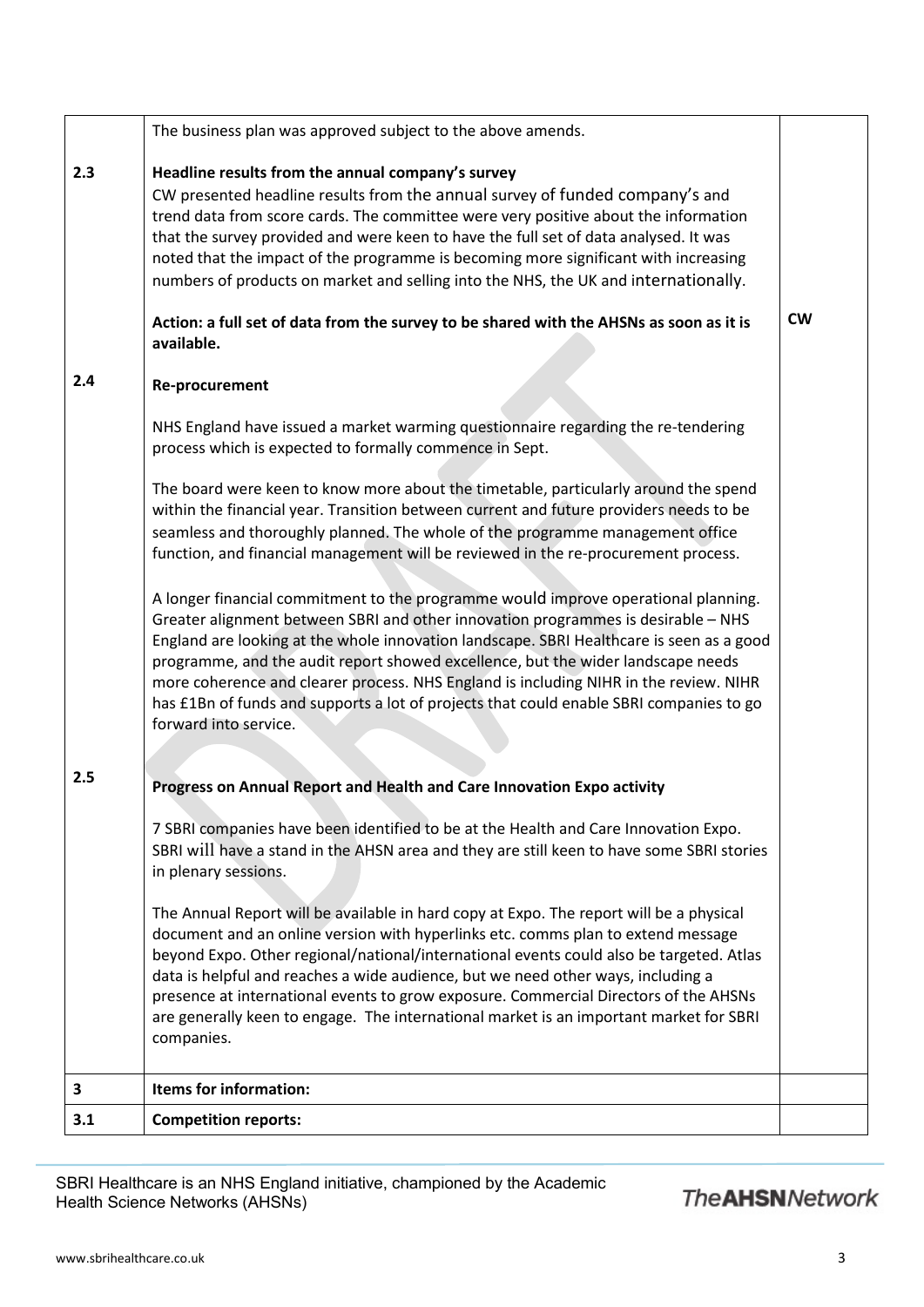|     | The business plan was approved subject to the above amends.                                                                                                                                                                                                                                                                                                                                                                                                                                                                                                                                             |           |
|-----|---------------------------------------------------------------------------------------------------------------------------------------------------------------------------------------------------------------------------------------------------------------------------------------------------------------------------------------------------------------------------------------------------------------------------------------------------------------------------------------------------------------------------------------------------------------------------------------------------------|-----------|
| 2.3 | Headline results from the annual company's survey<br>CW presented headline results from the annual survey of funded company's and<br>trend data from score cards. The committee were very positive about the information<br>that the survey provided and were keen to have the full set of data analysed. It was<br>noted that the impact of the programme is becoming more significant with increasing<br>numbers of products on market and selling into the NHS, the UK and internationally.<br>Action: a full set of data from the survey to be shared with the AHSNs as soon as it is<br>available. | <b>CW</b> |
| 2.4 | Re-procurement                                                                                                                                                                                                                                                                                                                                                                                                                                                                                                                                                                                          |           |
|     | NHS England have issued a market warming questionnaire regarding the re-tendering<br>process which is expected to formally commence in Sept.                                                                                                                                                                                                                                                                                                                                                                                                                                                            |           |
|     | The board were keen to know more about the timetable, particularly around the spend<br>within the financial year. Transition between current and future providers needs to be<br>seamless and thoroughly planned. The whole of the programme management office<br>function, and financial management will be reviewed in the re-procurement process.                                                                                                                                                                                                                                                    |           |
|     | A longer financial commitment to the programme would improve operational planning.<br>Greater alignment between SBRI and other innovation programmes is desirable - NHS<br>England are looking at the whole innovation landscape. SBRI Healthcare is seen as a good<br>programme, and the audit report showed excellence, but the wider landscape needs<br>more coherence and clearer process. NHS England is including NIHR in the review. NIHR<br>has £1Bn of funds and supports a lot of projects that could enable SBRI companies to go<br>forward into service.                                    |           |
|     |                                                                                                                                                                                                                                                                                                                                                                                                                                                                                                                                                                                                         |           |
| 2.5 | Progress on Annual Report and Health and Care Innovation Expo activity                                                                                                                                                                                                                                                                                                                                                                                                                                                                                                                                  |           |
|     | 7 SBRI companies have been identified to be at the Health and Care Innovation Expo.<br>SBRI will have a stand in the AHSN area and they are still keen to have some SBRI stories<br>in plenary sessions.                                                                                                                                                                                                                                                                                                                                                                                                |           |
|     | The Annual Report will be available in hard copy at Expo. The report will be a physical<br>document and an online version with hyperlinks etc. comms plan to extend message<br>beyond Expo. Other regional/national/international events could also be targeted. Atlas<br>data is helpful and reaches a wide audience, but we need other ways, including a<br>presence at international events to grow exposure. Commercial Directors of the AHSNs<br>are generally keen to engage. The international market is an important market for SBRI<br>companies.                                              |           |
| 3   | Items for information:                                                                                                                                                                                                                                                                                                                                                                                                                                                                                                                                                                                  |           |
| 3.1 | <b>Competition reports:</b>                                                                                                                                                                                                                                                                                                                                                                                                                                                                                                                                                                             |           |

SBRI Healthcare is an NHS England initiative, championed by the Academic Health Science Networks (AHSNs)

## **The AHSNNetwork**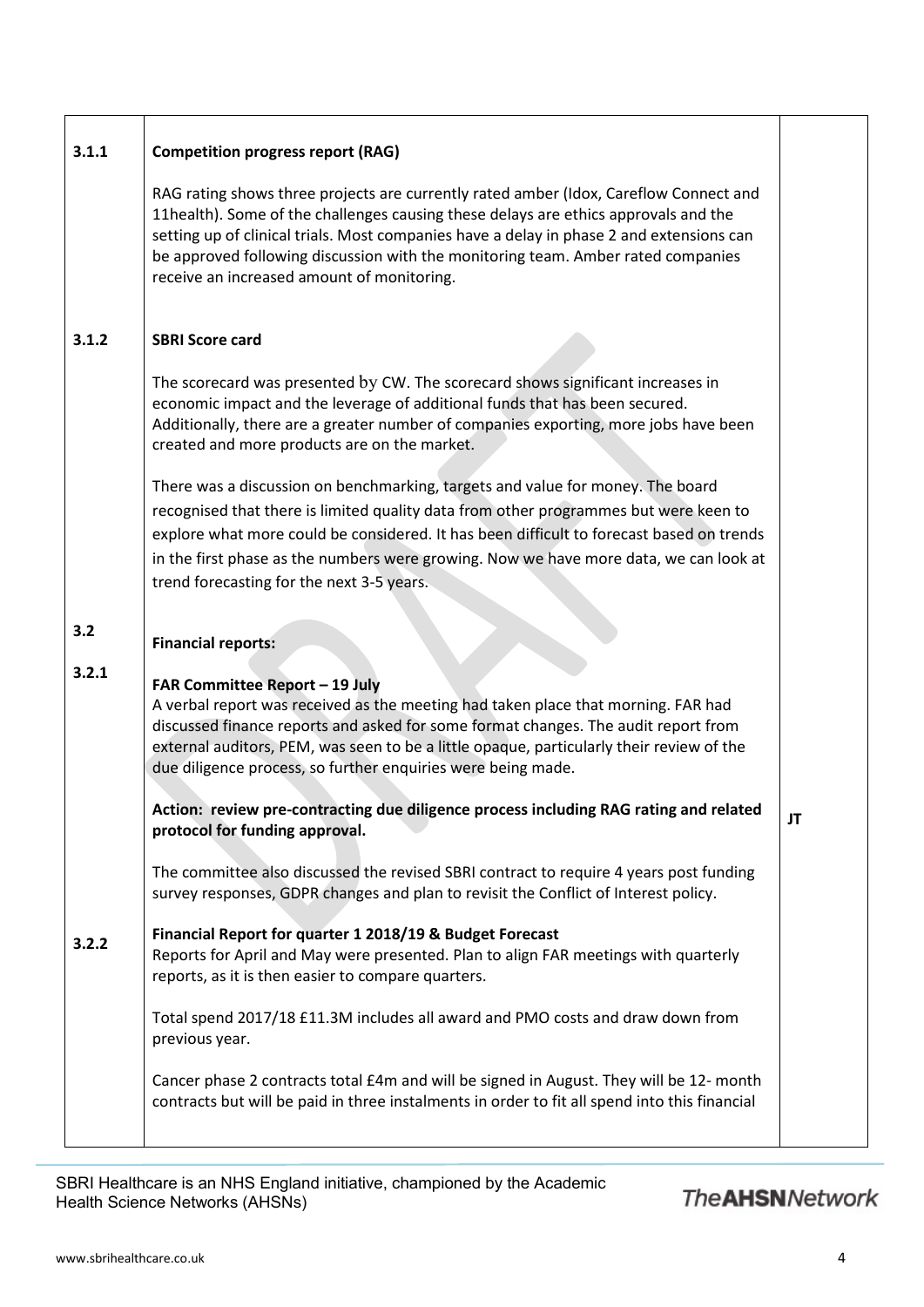| 3.1.1 | <b>Competition progress report (RAG)</b>                                                                                                                                                                                                                                                                                                                                                                   |    |
|-------|------------------------------------------------------------------------------------------------------------------------------------------------------------------------------------------------------------------------------------------------------------------------------------------------------------------------------------------------------------------------------------------------------------|----|
|       | RAG rating shows three projects are currently rated amber (Idox, Careflow Connect and<br>11health). Some of the challenges causing these delays are ethics approvals and the<br>setting up of clinical trials. Most companies have a delay in phase 2 and extensions can<br>be approved following discussion with the monitoring team. Amber rated companies<br>receive an increased amount of monitoring. |    |
| 3.1.2 | <b>SBRI Score card</b>                                                                                                                                                                                                                                                                                                                                                                                     |    |
|       | The scorecard was presented by CW. The scorecard shows significant increases in<br>economic impact and the leverage of additional funds that has been secured.<br>Additionally, there are a greater number of companies exporting, more jobs have been<br>created and more products are on the market.                                                                                                     |    |
|       | There was a discussion on benchmarking, targets and value for money. The board<br>recognised that there is limited quality data from other programmes but were keen to<br>explore what more could be considered. It has been difficult to forecast based on trends<br>in the first phase as the numbers were growing. Now we have more data, we can look at<br>trend forecasting for the next 3-5 years.   |    |
| 3.2   | <b>Financial reports:</b>                                                                                                                                                                                                                                                                                                                                                                                  |    |
| 3.2.1 | FAR Committee Report - 19 July<br>A verbal report was received as the meeting had taken place that morning. FAR had<br>discussed finance reports and asked for some format changes. The audit report from<br>external auditors, PEM, was seen to be a little opaque, particularly their review of the<br>due diligence process, so further enquiries were being made.                                      |    |
|       | Action: review pre-contracting due diligence process including RAG rating and related<br>protocol for funding approval.                                                                                                                                                                                                                                                                                    | JT |
|       | The committee also discussed the revised SBRI contract to require 4 years post funding<br>survey responses, GDPR changes and plan to revisit the Conflict of Interest policy.                                                                                                                                                                                                                              |    |
| 3.2.2 | Financial Report for quarter 1 2018/19 & Budget Forecast<br>Reports for April and May were presented. Plan to align FAR meetings with quarterly<br>reports, as it is then easier to compare quarters.                                                                                                                                                                                                      |    |
|       | Total spend 2017/18 £11.3M includes all award and PMO costs and draw down from<br>previous year.                                                                                                                                                                                                                                                                                                           |    |
|       | Cancer phase 2 contracts total £4m and will be signed in August. They will be 12- month<br>contracts but will be paid in three instalments in order to fit all spend into this financial                                                                                                                                                                                                                   |    |

SBRI Healthcare is an NHS England initiative, championed by the Academic Health Science Networks (AHSNs)

## **The AHSNNetwork**